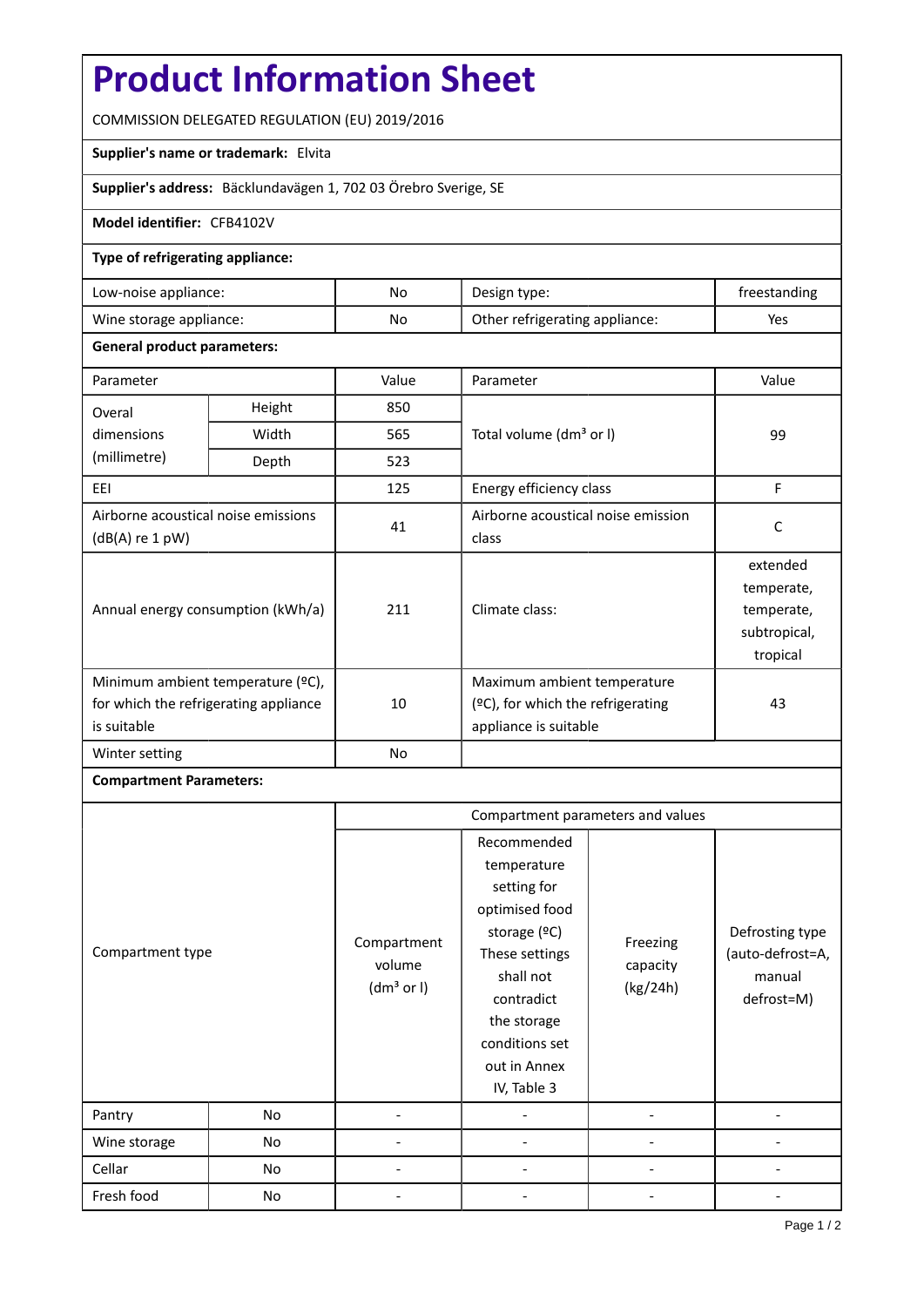# **Product Information Sheet**

COMMISSION DELEGATED REGULATION (EU) 2019/2016

## **Supplier's name or trademark:** Elvita

**Supplier's address:** Bäcklundavägen 1, 702 03 Örebro Sverige, SE

## **Model identifier:** CFB4102V

#### **Type of refrigerating appliance:**

| Low-noise appliance:    | No | Design type:                   | treestanding |
|-------------------------|----|--------------------------------|--------------|
| Wine storage appliance: | No | Other refrigerating appliance: | Yes          |

#### **General product parameters:**

| Parameter                                                                                 |        | Value          | Parameter                                                                                    | Value                                                            |
|-------------------------------------------------------------------------------------------|--------|----------------|----------------------------------------------------------------------------------------------|------------------------------------------------------------------|
| Overal                                                                                    | Height | 850            |                                                                                              |                                                                  |
| dimensions                                                                                | Width  | 565            | Total volume (dm <sup>3</sup> or I)                                                          | 99                                                               |
| (millimetre)                                                                              | Depth  | 523            |                                                                                              |                                                                  |
| EEI                                                                                       |        | 125            | Energy efficiency class                                                                      | F                                                                |
| Airborne acoustical noise emissions<br>$(dB(A)$ re 1 pW)                                  |        | 41             | Airborne acoustical noise emission<br>class                                                  | C                                                                |
| Annual energy consumption (kWh/a)                                                         |        | 211            | Climate class:                                                                               | extended<br>temperate,<br>temperate,<br>subtropical,<br>tropical |
| Minimum ambient temperature (°C),<br>for which the refrigerating appliance<br>is suitable |        | 10             | Maximum ambient temperature<br>$(2C)$ , for which the refrigerating<br>appliance is suitable | 43                                                               |
| Winter setting                                                                            |        | N <sub>o</sub> |                                                                                              |                                                                  |

## **Compartment Parameters:**

| Compartment type<br>Pantry<br>No |    | Compartment parameters and values               |                                                                                                                                                                                          |                                  |                                                             |
|----------------------------------|----|-------------------------------------------------|------------------------------------------------------------------------------------------------------------------------------------------------------------------------------------------|----------------------------------|-------------------------------------------------------------|
|                                  |    | Compartment<br>volume<br>(dm <sup>3</sup> or I) | Recommended<br>temperature<br>setting for<br>optimised food<br>storage (ºC)<br>These settings<br>shall not<br>contradict<br>the storage<br>conditions set<br>out in Annex<br>IV, Table 3 | Freezing<br>capacity<br>(kg/24h) | Defrosting type<br>(auto-defrost=A,<br>manual<br>defrost=M) |
|                                  |    |                                                 |                                                                                                                                                                                          |                                  |                                                             |
| Wine storage                     | No |                                                 |                                                                                                                                                                                          |                                  |                                                             |
| Cellar                           | No |                                                 |                                                                                                                                                                                          |                                  |                                                             |
| Fresh food                       | No |                                                 |                                                                                                                                                                                          |                                  |                                                             |